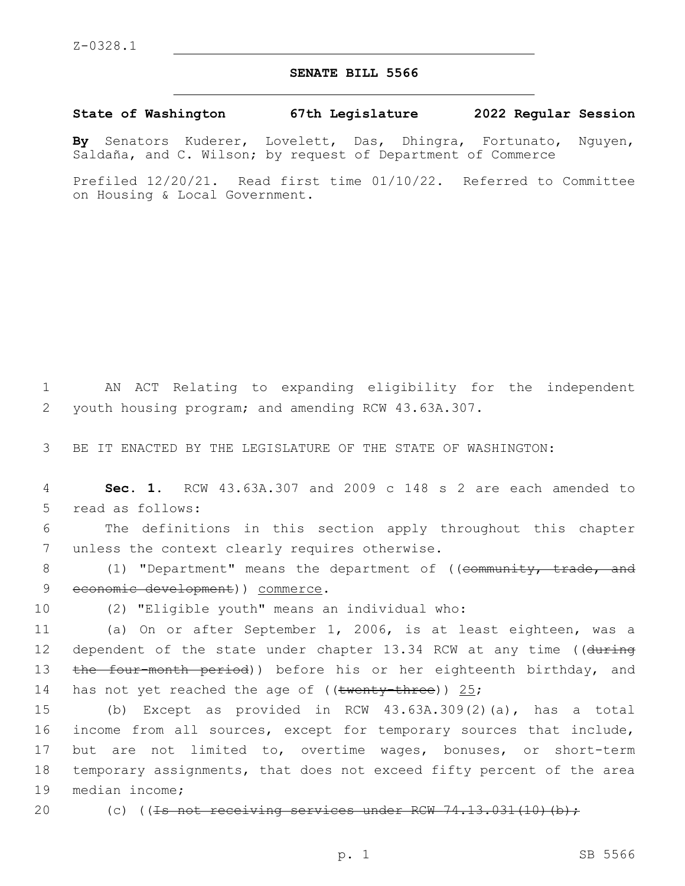## **SENATE BILL 5566**

**State of Washington 67th Legislature 2022 Regular Session**

**By** Senators Kuderer, Lovelett, Das, Dhingra, Fortunato, Nguyen, Saldaña, and C. Wilson; by request of Department of Commerce

Prefiled 12/20/21. Read first time 01/10/22. Referred to Committee on Housing & Local Government.

1 AN ACT Relating to expanding eligibility for the independent 2 youth housing program; and amending RCW 43.63A.307.

3 BE IT ENACTED BY THE LEGISLATURE OF THE STATE OF WASHINGTON:

4 **Sec. 1.** RCW 43.63A.307 and 2009 c 148 s 2 are each amended to 5 read as follows:

6 The definitions in this section apply throughout this chapter 7 unless the context clearly requires otherwise.

8 (1) "Department" means the department of ((community, trade, and 9 economic development) ) commerce.

10 (2) "Eligible youth" means an individual who:

11 (a) On or after September 1, 2006, is at least eighteen, was a 12 dependent of the state under chapter 13.34 RCW at any time ((during 13 the four-month period)) before his or her eighteenth birthday, and 14 has not yet reached the age of ((twenty-three)) 25;

 (b) Except as provided in RCW 43.63A.309(2)(a), has a total income from all sources, except for temporary sources that include, but are not limited to, overtime wages, bonuses, or short-term temporary assignments, that does not exceed fifty percent of the area 19 median income;

20 (c) ((<del>Is not receiving services under RCW 74.13.031(10)(b);</del>